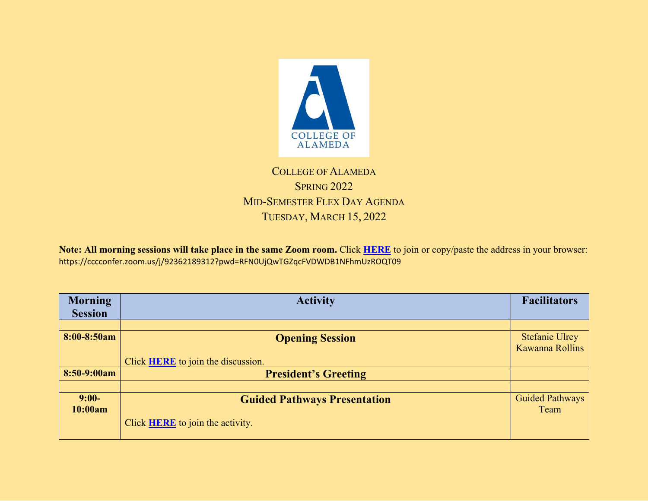

## COLLEGE OF ALAMEDA SPRING 2022 MID-SEMESTER FLEX DAY AGENDA TUESDAY, MARCH 15, 2022

**Note: All morning sessions will take place in the same Zoom room.** Click **[HERE](https://cccconfer.zoom.us/j/92362189312?pwd=RFN0UjQwTGZqcFVDWDB1NFhmUzROQT09)** to join or copy/paste the address in your browser: https://cccconfer.zoom.us/j/92362189312?pwd=RFN0UjQwTGZqcFVDWDB1NFhmUzROQT09

| <b>Morning</b> | <b>Activity</b>                           | <b>Facilitators</b>    |
|----------------|-------------------------------------------|------------------------|
| <b>Session</b> |                                           |                        |
|                |                                           |                        |
| 8:00-8:50am    | <b>Opening Session</b>                    | <b>Stefanie Ulrey</b>  |
|                |                                           | Kawanna Rollins        |
|                | Click <b>HERE</b> to join the discussion. |                        |
| $8:50-9:00am$  | <b>President's Greeting</b>               |                        |
|                |                                           |                        |
| $9:00-$        | <b>Guided Pathways Presentation</b>       | <b>Guided Pathways</b> |
| 10:00am        |                                           | Team                   |
|                | Click <b>HERE</b> to join the activity.   |                        |
|                |                                           |                        |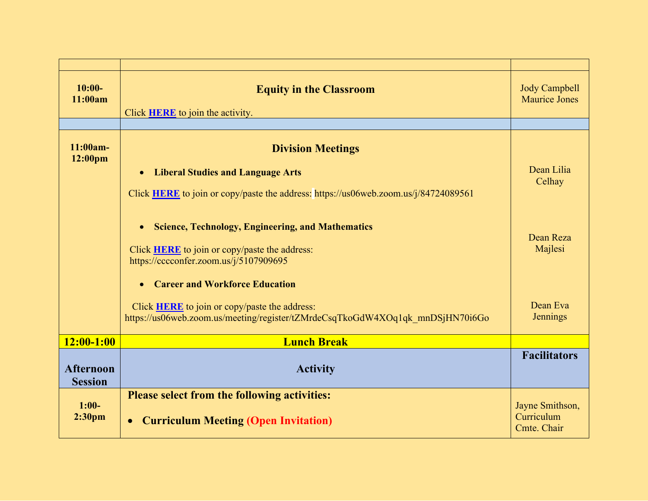| $10:00-$<br>11:00am                | <b>Equity in the Classroom</b><br>Click <b>HERE</b> to join the activity.                                                             | <b>Jody Campbell</b><br><b>Maurice Jones</b> |
|------------------------------------|---------------------------------------------------------------------------------------------------------------------------------------|----------------------------------------------|
|                                    |                                                                                                                                       |                                              |
| $11:00am -$<br>12:00pm             | <b>Division Meetings</b>                                                                                                              |                                              |
|                                    | <b>Liberal Studies and Language Arts</b><br>$\bullet$                                                                                 | Dean Lilia                                   |
|                                    | Click <b>HERE</b> to join or copy/paste the address: https://us06web.zoom.us/j/84724089561                                            | Celhay                                       |
|                                    | <b>Science, Technology, Engineering, and Mathematics</b><br>$\bullet$                                                                 | Dean Reza                                    |
|                                    | Click <b>HERE</b> to join or copy/paste the address:<br>https://cccconfer.zoom.us/j/5107909695                                        | Majlesi                                      |
|                                    | <b>Career and Workforce Education</b><br>$\bullet$                                                                                    |                                              |
|                                    | Click <b>HERE</b> to join or copy/paste the address:<br>https://us06web.zoom.us/meeting/register/tZMrdeCsqTkoGdW4XOq1qk mnDSjHN70i6Go | Dean Eva<br><b>Jennings</b>                  |
| $12:00-1:00$                       | <b>Lunch Break</b>                                                                                                                    |                                              |
| <b>Afternoon</b><br><b>Session</b> | <b>Activity</b>                                                                                                                       | <b>Facilitators</b>                          |
|                                    | <b>Please select from the following activities:</b>                                                                                   |                                              |
| $1:00-$<br>2:30 <sub>pm</sub>      | <b>Curriculum Meeting (Open Invitation)</b>                                                                                           | Jayne Smithson,<br>Curriculum<br>Cmte. Chair |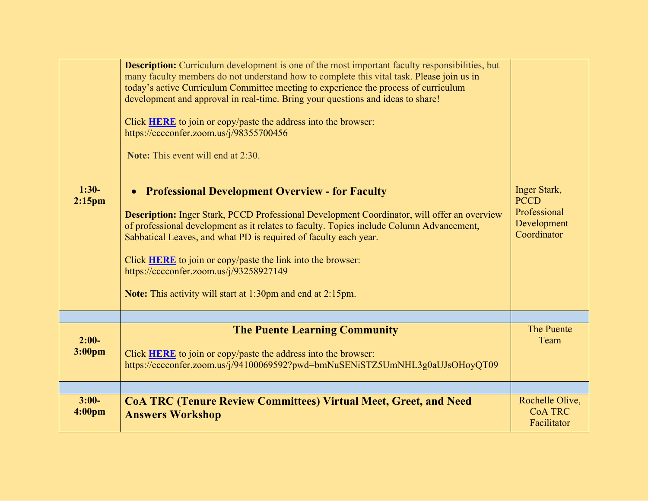| $1:30-$<br>$2:15$ pm          | <b>Description:</b> Curriculum development is one of the most important faculty responsibilities, but<br>many faculty members do not understand how to complete this vital task. Please join us in<br>today's active Curriculum Committee meeting to experience the process of curriculum<br>development and approval in real-time. Bring your questions and ideas to share!<br>Click HERE to join or copy/paste the address into the browser:<br>https://cccconfer.zoom.us/j/98355700456<br><b>Note:</b> This event will end at 2:30.<br><b>Professional Development Overview - for Faculty</b><br>$\bullet$<br><b>Description:</b> Inger Stark, PCCD Professional Development Coordinator, will offer an overview<br>of professional development as it relates to faculty. Topics include Column Advancement,<br>Sabbatical Leaves, and what PD is required of faculty each year.<br>Click HERE to join or copy/paste the link into the browser:<br>https://cccconfer.zoom.us/j/93258927149<br><b>Note:</b> This activity will start at 1:30pm and end at 2:15pm. | <b>Inger Stark,</b><br><b>PCCD</b><br>Professional<br>Development<br>Coordinator |
|-------------------------------|---------------------------------------------------------------------------------------------------------------------------------------------------------------------------------------------------------------------------------------------------------------------------------------------------------------------------------------------------------------------------------------------------------------------------------------------------------------------------------------------------------------------------------------------------------------------------------------------------------------------------------------------------------------------------------------------------------------------------------------------------------------------------------------------------------------------------------------------------------------------------------------------------------------------------------------------------------------------------------------------------------------------------------------------------------------------|----------------------------------------------------------------------------------|
|                               |                                                                                                                                                                                                                                                                                                                                                                                                                                                                                                                                                                                                                                                                                                                                                                                                                                                                                                                                                                                                                                                                     |                                                                                  |
| $2:00-$<br>3:00pm             | <b>The Puente Learning Community</b><br>Click <b>HERE</b> to join or copy/paste the address into the browser:<br>https://cccconfer.zoom.us/j/94100069592?pwd=bmNuSENiSTZ5UmNHL3g0aUJsOHoyQT09                                                                                                                                                                                                                                                                                                                                                                                                                                                                                                                                                                                                                                                                                                                                                                                                                                                                       | The Puente<br>Team                                                               |
|                               |                                                                                                                                                                                                                                                                                                                                                                                                                                                                                                                                                                                                                                                                                                                                                                                                                                                                                                                                                                                                                                                                     |                                                                                  |
| $3:00-$<br>4:00 <sub>pm</sub> | <b>CoA TRC (Tenure Review Committees) Virtual Meet, Greet, and Need</b><br><b>Answers Workshop</b>                                                                                                                                                                                                                                                                                                                                                                                                                                                                                                                                                                                                                                                                                                                                                                                                                                                                                                                                                                  | Rochelle Olive,<br><b>CoA TRC</b><br>Facilitator                                 |